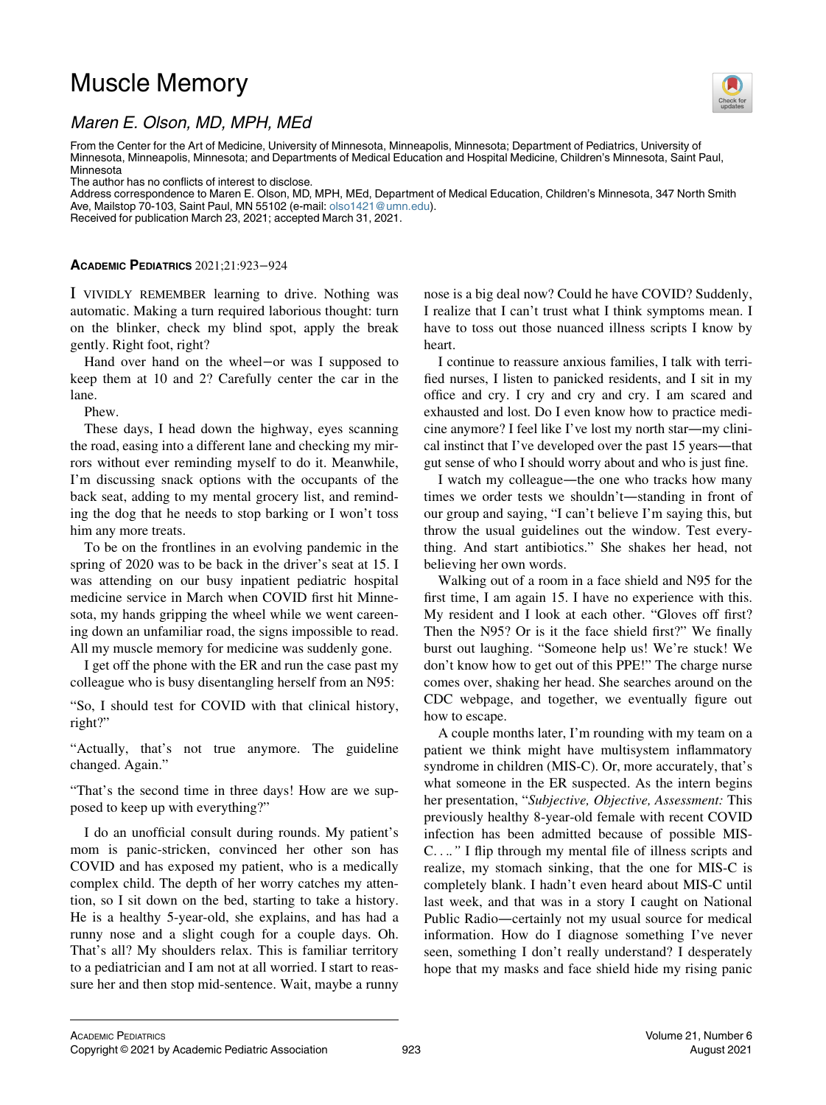## Muscle Memory



## Maren E. Olson, MD, MPH, MEd

From the Center for the Art of Medicine, University of Minnesota, Minneapolis, Minnesota; Department of Pediatrics, University of Minnesota, Minneapolis, Minnesota; and Departments of Medical Education and Hospital Medicine, Children's Minnesota, Saint Paul, Minnesota

The author has no conflicts of interest to disclose.

Address correspondence to Maren E. Olson, MD, MPH, MEd, Department of Medical Education, Children's Minnesota, 347 North Smith Ave, Mailstop 70-103, Saint Paul, MN 55102 (e-mail: [olso1421@umn.edu](mailto:olso1421@umn.edu)).

Received for publication March 23, 2021; accepted March 31, 2021.

## ACADEMIC PEDIATRICS 2021;21:923−924

I VIVIDLY REMEMBER learning to drive. Nothing was automatic. Making a turn required laborious thought: turn on the blinker, check my blind spot, apply the break gently. Right foot, right?

Hand over hand on the wheel−or was I supposed to keep them at 10 and 2? Carefully center the car in the lane.

Phew.

These days, I head down the highway, eyes scanning the road, easing into a different lane and checking my mirrors without ever reminding myself to do it. Meanwhile, I'm discussing snack options with the occupants of the back seat, adding to my mental grocery list, and reminding the dog that he needs to stop barking or I won't toss him any more treats.

To be on the frontlines in an evolving pandemic in the spring of 2020 was to be back in the driver's seat at 15. I was attending on our busy inpatient pediatric hospital medicine service in March when COVID first hit Minnesota, my hands gripping the wheel while we went careening down an unfamiliar road, the signs impossible to read. All my muscle memory for medicine was suddenly gone.

I get off the phone with the ER and run the case past my colleague who is busy disentangling herself from an N95:

"So, I should test for COVID with that clinical history, right?"

"Actually, that's not true anymore. The guideline changed. Again."

"That's the second time in three days! How are we supposed to keep up with everything?"

I do an unofficial consult during rounds. My patient's mom is panic-stricken, convinced her other son has COVID and has exposed my patient, who is a medically complex child. The depth of her worry catches my attention, so I sit down on the bed, starting to take a history. He is a healthy 5-year-old, she explains, and has had a runny nose and a slight cough for a couple days. Oh. That's all? My shoulders relax. This is familiar territory to a pediatrician and I am not at all worried. I start to reassure her and then stop mid-sentence. Wait, maybe a runny nose is a big deal now? Could he have COVID? Suddenly, I realize that I can't trust what I think symptoms mean. I have to toss out those nuanced illness scripts I know by heart.

I continue to reassure anxious families, I talk with terrified nurses, I listen to panicked residents, and I sit in my office and cry. I cry and cry and cry. I am scared and exhausted and lost. Do I even know how to practice medicine anymore? I feel like I've lost my north star—my clinical instinct that I've developed over the past 15 years—that gut sense of who I should worry about and who is just fine.

I watch my colleague—the one who tracks how many times we order tests we shouldn't—standing in front of our group and saying, "I can't believe I'm saying this, but throw the usual guidelines out the window. Test everything. And start antibiotics." She shakes her head, not believing her own words.

Walking out of a room in a face shield and N95 for the first time, I am again 15. I have no experience with this. My resident and I look at each other. "Gloves off first? Then the N95? Or is it the face shield first?" We finally burst out laughing. "Someone help us! We're stuck! We don't know how to get out of this PPE!" The charge nurse comes over, shaking her head. She searches around on the CDC webpage, and together, we eventually figure out how to escape.

A couple months later, I'm rounding with my team on a patient we think might have multisystem inflammatory syndrome in children (MIS-C). Or, more accurately, that's what someone in the ER suspected. As the intern begins her presentation, "Subjective, Objective, Assessment: This previously healthy 8-year-old female with recent COVID infection has been admitted because of possible MIS-C...." I flip through my mental file of illness scripts and realize, my stomach sinking, that the one for MIS-C is completely blank. I hadn't even heard about MIS-C until last week, and that was in a story I caught on National Public Radio—certainly not my usual source for medical information. How do I diagnose something I've never seen, something I don't really understand? I desperately hope that my masks and face shield hide my rising panic